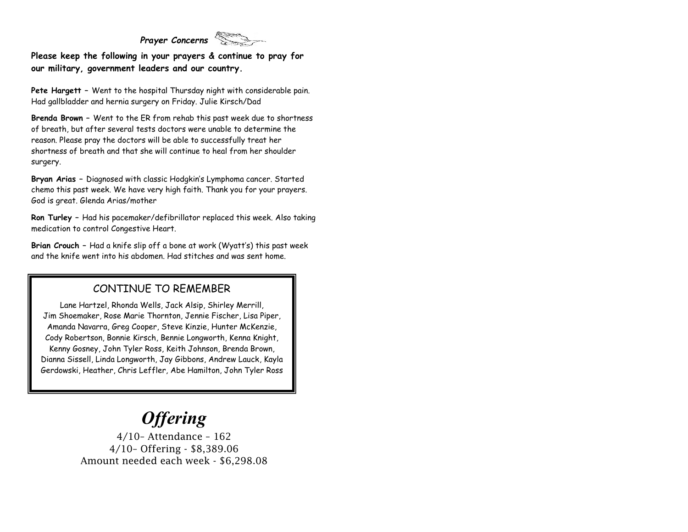### *Prayer Concerns*

**Please keep the following in your prayers & continue to pray for our military, government leaders and our country.**

**Pete Hargett –** Went to the hospital Thursday night with considerable pain. Had gallbladder and hernia surgery on Friday. Julie Kirsch/Dad

**Brenda Brown –** Went to the ER from rehab this past week due to shortness of breath, but after several tests doctors were unable to determine the reason. Please pray the doctors will be able to successfully treat her shortness of breath and that she will continue to heal from her shoulder surgery.

**Bryan Arias –** Diagnosed with classic Hodgkin's Lymphoma cancer. Started chemo this past week. We have very high faith. Thank you for your prayers. God is great. Glenda Arias/mother

**Ron Turley –** Had his pacemaker/defibrillator replaced this week. Also taking medication to control Congestive Heart.

**Brian Crouch –** Had a knife slip off a bone at work (Wyatt's) this past week and the knife went into his abdomen. Had stitches and was sent home.

#### CONTINUE TO REMEMBER

Lane Hartzel, Rhonda Wells, Jack Alsip, Shirley Merrill, Jim Shoemaker, Rose Marie Thornton, Jennie Fischer, Lisa Piper, Amanda Navarra, Greg Cooper, Steve Kinzie, Hunter McKenzie, Cody Robertson, Bonnie Kirsch, Bennie Longworth, Kenna Knight, Kenny Gosney, John Tyler Ross, Keith Johnson, Brenda Brown, Dianna Sissell, Linda Longworth, Jay Gibbons, Andrew Lauck, Kayla Gerdowski, Heather, Chris Leffler, Abe Hamilton, John Tyler Ross

# *Offering*

4/10– Attendance – 162 4/10– Offering - \$8,389.06 Amount needed each week - \$6,298.08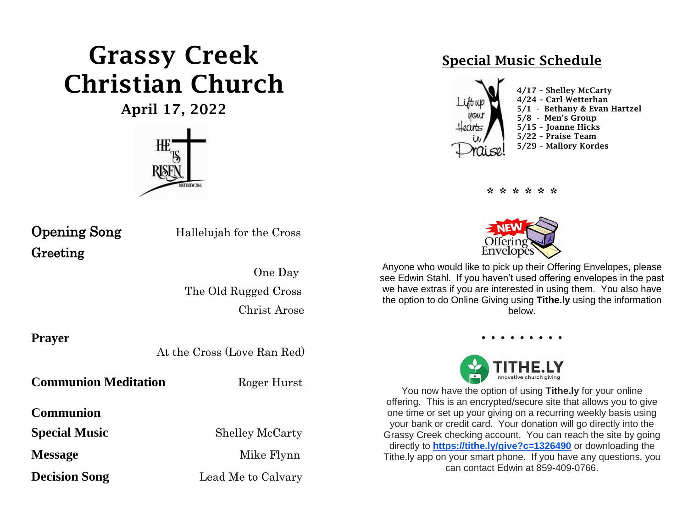# Grassy Creek Christian Church

April 17, 2022



Greeting

**Opening Song** Hallelujah for the Cross

 One Day The Old Rugged Cross Christ Arose

**Prayer**

At the Cross (Love Ran Red)

**Communion Meditation** Roger Hurst

**Communion** 

**Special Music** Shelley McCarty

**Decision Song** Lead Me to Calvary

**Message** Mike Flynn

## Special Music Schedule



\* \* \* \* \* \*



Anyone who would like to pick up their Offering Envelopes, please see Edwin Stahl. If you haven't used offering envelopes in the past we have extras if you are interested in using them. You also have the option to do Online Giving using **Tithe.ly** using the information below.



You now have the option of using **Tithe.ly** for your online offering. This is an encrypted/secure site that allows you to give one time or set up your giving on a recurring weekly basis using your bank or credit card. Your donation will go directly into the Grassy Creek checking account. You can reach the site by going directly to **[https://tithe.ly/give?c=1326490](https://urldefense.com/v3/__https:/tithe.ly/give?c=1326490__;!!ACWV5N9M2RV99hQ!fWolAwnURXg2iROxSWvcIF9cZNTvXBN10Xxg-oD4m_-op1xOs7aJzAsdX3UqPDE$)** or downloading the Tithe.ly app on your smart phone. If you have any questions, you can contact Edwin at 859-409-0766.